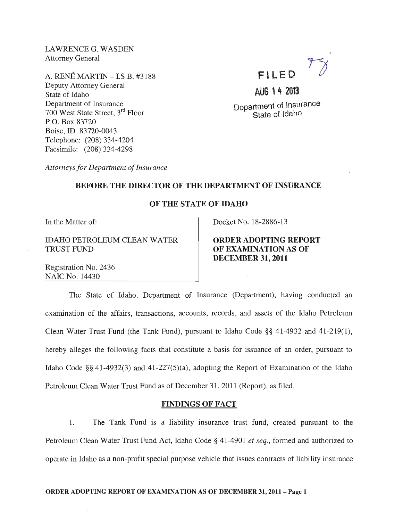LAWRENCEG. WASDEN Attorney General

A. RENÉ MARTIN - I.S.B. #3188 Deputy Attorney General State of Idaho Department of Insurance 700 West State Street, 3rd Floor P.O. Box 83720 Boise, ID 83720-0043 Telephone: (208) 334-4204 Facsimile: (208) 334-4298

# FILE D

# AUG 14 2013

Department of Insurance State of Idaho

*Attorneys for Department of Insurance* 

# BEFORE THE DIRECTOR OF THE DEPARTMENT OF INSURANCE

## OF THE STATE OF IDAHO

In the Matter of:

IDAHO PETROLEUM CLEAN WATER TRUST FUND

Docket No. 18-2886-13

ORDER ADOPTING REPORT OF EXAMINATION AS OF DECEMBER 31, 2011

Registration No. 2436 NAIC No. 14430

The State of Idaho, Department of Insurance (Department), having conducted an examination of the affairs, transactions, accounts, records, and assets of the Idaho Petroleum Clean Water Trust Fund (the Tank Fund), pursuant to Idaho Code §§ 41-4932 and 41-219(1), hereby alleges the following facts that constitute a basis for issuance of an order, pursuant to Idaho Code §§ 41-4932(3) and 41-227(5)(a), adopting the Report of Examination of the Idaho Petroleum Clean Water Trust Fund as of December 31 , 2011 (Report), as filed.

## FINDINGS OF FACT

1. The Tank Fund is a liability insurance trust fund, created pursuant to the Petroleum Clean Water Trust Fund Act, Idaho Code § 41-4901 *et seq.*, formed and authorized to operate in Idaho as a non-profit special purpose vehicle that issues contracts of liability insurance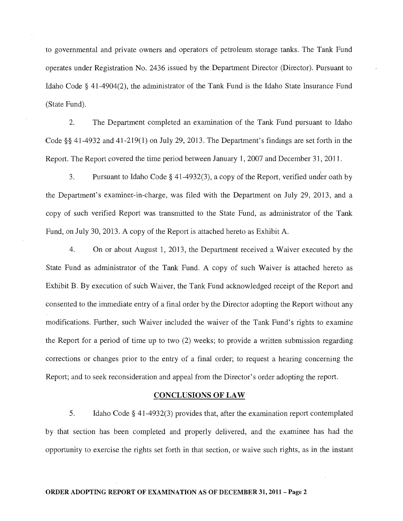to governmental and private owners and operators of petroleum storage tanks. The Tank Fund operates under Registration No. 2436 issued by the Department Director (Director). Pursuant to Idaho Code § 41-4904(2), the administrator of the Tank Fund is the Idaho State Insurance Fund (State Fund).

2. The Department completed an examination of the Tank Fund pursuant to Idaho Code §§ 41-4932 and 41-219(1) on July 29, 2013. The Department's findings are set forth in the Report. The Report covered the time period between January 1, 2007 and December 31, 2011.

3. Pursuant to Idaho Code § 41-4932(3), a copy of the Report, verified under oath by the Department's examiner-in-charge, was filed with the Department on July 29, 2013, and a copy of such verified Report was transmitted to the State Fund, as administrator of the Tank Fund, on July 30,2013. A copy of the Report is attached hereto as Exhibit A.

4. On or about August 1, 2013, the Department received a Waiver executed by the State Fund as administrator of the Tank Fund. A copy of such Waiver is attached hereto as Exhibit B. By execution of such Waiver, the Tank Fund acknowledged receipt of the Report and consented to the immediate entry of a final order by the Director adopting the Report without any modifications. Further, such Waiver included the waiver of the Tank Fund's rights to examine the Report for a period of time up to two (2) weeks; to provide a written submission regarding corrections or changes prior to the entry of a final order; to request a hearing concerning the Report; and to seek reconsideration and appeal from the Director's order adopting the report.

#### CONCLUSIONS OF LAW

5. Idaho Code § 41-4932(3) provides that, after the examination report contemplated by that section has been completed and properly delivered, and the examinee has had the opportunity to exercise the rights set forth in that section, or waive such rights, as in the instant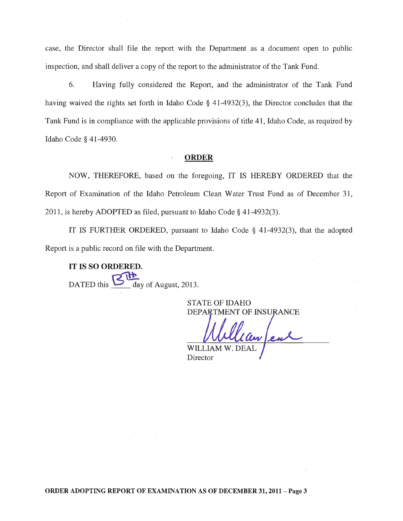case, the Director shall file the report with the Department as a document open to public inspection, and shall deliver a copy of the report to the administrator of the Tank Fund.

6. Having fully considered the Report, and the administrator of the Tank Fund having waived the rights set forth in Idaho Code § 41-4932(3), the Director concludes that the Tank Fund is in compliance with the applicable provisions of title 41, Idaho Code, as required by Idaho Code § 41-4930.

## **ORDER**

NOW, THEREFORE, based on the foregoing, IT IS HEREBY ORDERED that the Report of Examination of the Idaho Petroleum Clean Water Trust Fund as of December 31, 2011, is hereby ADOPTED as filed, pursuant to Idaho Code § 41-4932(3).

IT IS FURTHER ORDERED, pursuant to Idaho Code § 41-4932(3), that the adopted Report is a public record on file with the Department.

IT IS SO ORDERED. DATED this  $\sum$  day of August, 2013.

STATE OF IDAHO DEPARTMENT OF INSURANCE

WILLI Director

ORDER ADOPTING REPORT OF EXAMINATION AS OF DECEMBER 31, 2011- Page 3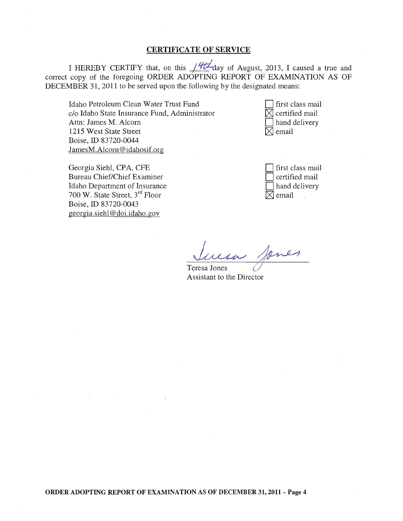# CERTIFICATE OF SERVICE

I HEREBY CERTIFY that, on this  $14t$  day of August, 2013, I caused a true and correct copy of the foregoing ORDER ADOPTING REPORT OF EXAMINATION AS OF DECEMBER 31, 2011 to be served upon the following by the designated means:

Idaho Petroleum Clean Water Trust Fund c/o Idaho State Insurance Fund, Administrator Attn: James M. Alcorn 1215 West State Street Boise, ID 83720-0044 JamesM.Alcorn@idahosif.org

first class mail  $\boxtimes$  certified mail hand delivery  $\boxtimes$  email

| Georgia Siehl, CPA, CFE                    |
|--------------------------------------------|
| <b>Bureau Chief/Chief Examiner</b>         |
| Idaho Department of Insurance              |
| 700 W. State Street, 3 <sup>rd</sup> Floor |
| Boise, ID 83720-0043                       |
| georgia.siehl@doi.idaho.gov                |

first class mail certified mail hand delivery  $\boxtimes$  email

Suesa Janes

Assistant to the Director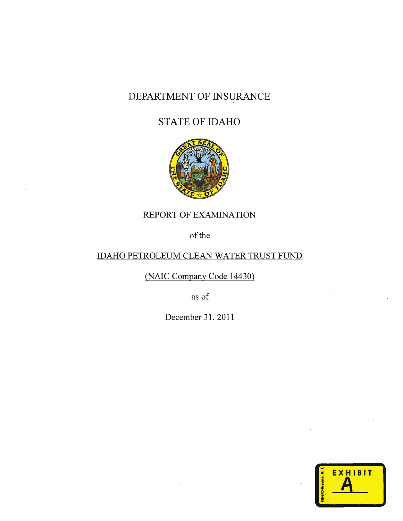# DEPARTMENT OF INSURANCE

# STATE OF IDAHO



# REPORT OF EXAMINATION

of the

# IDAHO PETROLEUM CLEAN WATER TRUST FUND

(NAIC Company Code 14430)

as of

December 31, 2011

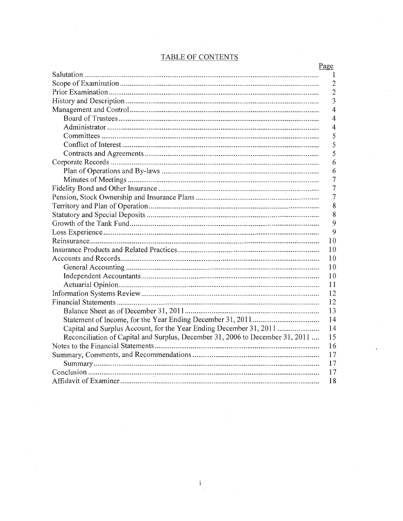# TABLE OF CONTENTS

| 1<br>$\mathbf{2}$<br>$\overline{c}$<br>3<br>$\overline{4}$<br>4<br>4<br>5<br>5<br>5<br>6<br>6<br>7<br>7<br>7<br>8<br>8<br>9<br>9<br>10<br>10<br>10<br>10<br>10<br>11<br>12<br>12<br>13<br>14<br>Capital and Surplus Account, for the Year Ending December 31, 2011<br>14<br>Reconciliation of Capital and Surplus, December 31, 2006 to December 31, 2011<br>15<br>16<br>17<br>17<br>17 | Page |
|-----------------------------------------------------------------------------------------------------------------------------------------------------------------------------------------------------------------------------------------------------------------------------------------------------------------------------------------------------------------------------------------|------|
|                                                                                                                                                                                                                                                                                                                                                                                         |      |
|                                                                                                                                                                                                                                                                                                                                                                                         |      |
|                                                                                                                                                                                                                                                                                                                                                                                         |      |
|                                                                                                                                                                                                                                                                                                                                                                                         |      |
|                                                                                                                                                                                                                                                                                                                                                                                         |      |
|                                                                                                                                                                                                                                                                                                                                                                                         |      |
|                                                                                                                                                                                                                                                                                                                                                                                         |      |
|                                                                                                                                                                                                                                                                                                                                                                                         |      |
|                                                                                                                                                                                                                                                                                                                                                                                         |      |
|                                                                                                                                                                                                                                                                                                                                                                                         |      |
|                                                                                                                                                                                                                                                                                                                                                                                         |      |
|                                                                                                                                                                                                                                                                                                                                                                                         |      |
|                                                                                                                                                                                                                                                                                                                                                                                         |      |
|                                                                                                                                                                                                                                                                                                                                                                                         |      |
|                                                                                                                                                                                                                                                                                                                                                                                         |      |
|                                                                                                                                                                                                                                                                                                                                                                                         |      |
|                                                                                                                                                                                                                                                                                                                                                                                         |      |
|                                                                                                                                                                                                                                                                                                                                                                                         |      |
|                                                                                                                                                                                                                                                                                                                                                                                         |      |
|                                                                                                                                                                                                                                                                                                                                                                                         |      |
|                                                                                                                                                                                                                                                                                                                                                                                         |      |
|                                                                                                                                                                                                                                                                                                                                                                                         |      |
|                                                                                                                                                                                                                                                                                                                                                                                         |      |
|                                                                                                                                                                                                                                                                                                                                                                                         |      |
|                                                                                                                                                                                                                                                                                                                                                                                         |      |
|                                                                                                                                                                                                                                                                                                                                                                                         |      |
|                                                                                                                                                                                                                                                                                                                                                                                         |      |
|                                                                                                                                                                                                                                                                                                                                                                                         |      |
|                                                                                                                                                                                                                                                                                                                                                                                         |      |
|                                                                                                                                                                                                                                                                                                                                                                                         |      |
|                                                                                                                                                                                                                                                                                                                                                                                         |      |
|                                                                                                                                                                                                                                                                                                                                                                                         |      |
|                                                                                                                                                                                                                                                                                                                                                                                         |      |
|                                                                                                                                                                                                                                                                                                                                                                                         |      |
|                                                                                                                                                                                                                                                                                                                                                                                         |      |
|                                                                                                                                                                                                                                                                                                                                                                                         | 18   |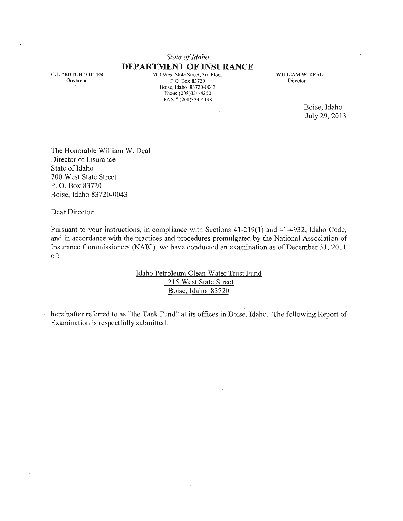# *State of Idaho*  **DEPARTMENT OF INSURANCE**

c.L. "BUTCH" OTTER Governor

 $\bar{z}$ 

700 West State Street, 3rd Floor P.O. Box 83720 Boise, Idaho 83720-0043 Phone (208)334-4250 FAX # (208)334-4398

WILLIAM W. DEAL Director

 $\sim$   $\sim$ 

Boise, Idaho July 29,2013

 $\frac{1}{2}$ 

The Honorable William W. Deal Director of Insurance State of Idaho 700 West State Street P. O. Box 83720 Boise, Idaho 83720-0043

Dear Director:

Pursuant to your instructions, in compliance with Sections 41-219(1) and 41-4932, Idaho Code, and in accordance with the practices and procedures promulgated by the National Association of Insurance Commissioners (NAIC), we have conducted an examination as of December 31, **2011**  of:

> Idaho Petroleum Clean Water Trust Fund 1215 West State Street Boise, Idaho 83720

hereinafter referred to as "the Tank Fund" at its offices in Boise, Idaho. The following Report of Examination is respectfully submitted.

 $\sim$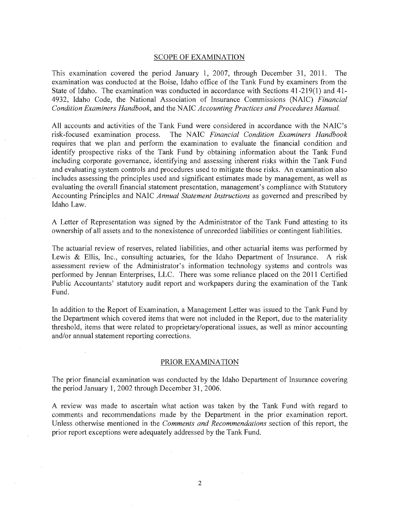#### SCOPE OF EXAMINATION

This examination covered the period January 1, 2007, through December 31, 2011. The examination was conducted at the Boise, Idaho office of the Tank Fund by examiners from the State of Idaho. The examination was conducted in accordance with Sections  $41-219(1)$  and  $41-$ 4932, Idaho Code, the National Association of Insurance Commissions (NAIC) *Financial Condition Examiners Handbook,* and the NAIC *Accounting Practices and Procedures Manual.* 

All accounts and activities of the Tank Fund were considered in accordance with the NAIC's risk-focused examination process. The NAIC *Financial Condition Examiners Handbook*  requires that we plan and perform the examination to evaluate the financial condition and identify prospective risks of the Tank Fund by obtaining information about the Tank Fund including corporate governance, identifying and assessing inherent risks within the Tank Fund and evaluating system controls and procedures used to mitigate those risks. An examination also includes assessing the principles used and significant estimates made by management, as well as evaluating the overall financial statement presentation, management's compliance with Statutory Accounting Principles and NAIC *Annual Statement Instructions* as governed and prescribed by Idaho Law.

A Letter of Representation was signed by the Administrator of the Tank Fund attesting to its ownership of all assets and to the nonexistence of unrecorded liabilities or contingent liabilities.

The actuarial review of reserves, related liabilities, and other actuarial items was performed by Lewis & Ellis, Inc., consulting actuaries, for the Idaho Department of Insurance. A risk assessment review of the Administrator's information technology systems and controls was performed by Jennan Enterprises, LLC. There was some reliance placed on the 2011 Certified Public Accountants' statutory audit report and workpapers during the examination of the Tank Fund.

In addition to the Report of Examination, a Management Letter was issued to the Tank Fund by the Department which covered items that were not included in the Report, due to the materiality threshold, items that were related to proprietary/operational issues, as well as minor accounting and/or annual statement reporting corrections.

#### PRIOR EXAMINATION

The prior financial examination was conducted by the Idaho Department of Insurance covering the period January 1, 2002 through December 31, 2006.

A review was made to ascertain what action was taken by the Tank Fund with regard to comments and recommendations made by the Department in the prior examination report. Unless otherwise mentioned in the *Comments and Recommendations* section of this report, the prior report exceptions were adequately addressed by the Tank Fund.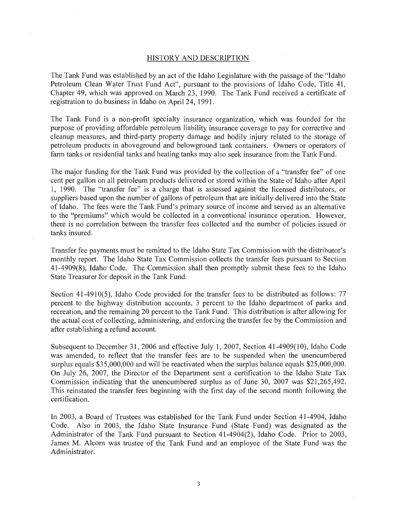#### HISTORY AND DESCRIPTION

The Tank Fund was established by an act of the Idaho Legislature with the passage of the "Idaho Petroleum Clean Water Trust Fund Act", pursuant to the provisions of Idaho Code, Title 41, Chapter 49, which was approved on March 23, 1990. The Tank Fund received a certificate of registration to do business in Idaho on April 24, 1991.

The Tank Fund is a non-profit specialty insurance organization, which was founded for the purpose of providing affordable petroleum liability insurance coverage to pay for corrective and cleanup measures, and third-party property damage and bodily injury related to the storage of petroleum products in aboveground and belowground tank containers. Owners or operators of farm tanks or residential tanks and heating tanks may also seek insurance from the Tank Fund.

The major funding for the Tank Fund was provided by the collection of a "transfer fee" of one cent per gallon on all petroleum products delivered or stored within the State of Idaho after April 1, 1990. The "transfer fee" is a charge that is assessed against the licensed distributors, or suppliers based upon the number of gallons of petroleum that are initially delivered into the State of Idaho. The fees were the Tank Fund's primary source of income and served as an alternative to the "premiums" which would be collected in a conventional insurance operation. However, there is no correlation between the transfer fees collected and the number of policies issued or tanks insured.

Transfer fee payments must be remitted to the Idaho State Tax Commission with the distributor's monthly report. The Idaho State Tax Commission collects the transfer fees pursuant to Section 41-4909(8), Idaho Code. The Commission shall then promptly submit these fees to the Idaho State Treasurer for deposit in the Tank Fund.

Section 41-4910(5), Idaho Code provided for the transfer fees to be distributed as follows: 77 percent to the highway distribution accounts, 3 percent to the Idaho department of parks and recreation, and the remaining 20 percent to the Tank Fund. This distribution is after allowing for the actual cost of collecting, administering, and enforcing the transfer fee by the Commission and after establishing a refund account.

Subsequent to December 31, 2006 and effective July 1,2007, Section 41-4909(10), Idaho Code was amended, to reflect that the transfer fees are to be suspended when the unencumbered surplus equals \$35,000,000 and will be reactivated when the surplus balance equals \$25,000,000. On July 26, 2007, the Director of the Department sent a certification to the Idaho State Tax Commission indicating that the unencumbered surplus as' of June 30, 2007 was \$21,265,492. This reinstated the transfer fees beginning with the first day of the second month following the certification.

In 2003, a Board of Trustees was established for the Tank Fund under Section 41-4904, Idaho Code. Also in 2003, the Idaho State Insurance Fund (State Fund) was designated as the Administrator of the Tank Fund pursuant to Section 41-4904(2), Idaho Code. Prior to 2003, James M. Alcorn was trustee of the Tank Fund and an employee of the State Fund was the Administrator.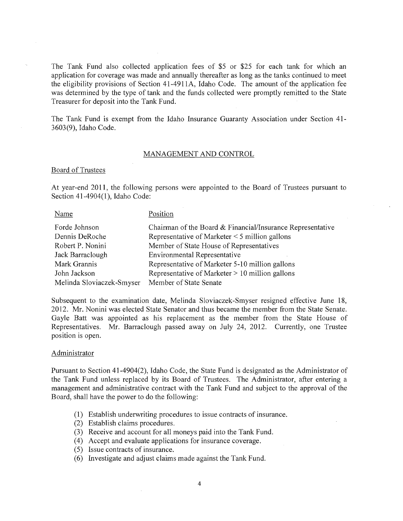The Tank Fund also collected application fees of \$5 or \$25 for each tank for which an application for coverage was made and annually thereafter as long as the tanks continued to meet the eligibility provisions of Section 41-4911A, Idaho Code. The amount of the application fee was determined by the type of tank and the funds collected were promptly remitted to the State Treasurer for deposit into the Tank Fund.

The Tank Fund is exempt from the Idaho Insurance Guaranty Association under Section 41- 3603(9), Idaho Code.

#### MANAGEMENT AND CONTROL

## Board of Trustees

At year-end 2011, the following persons were appointed to the Board of Trustees pursuant to Section 41-4904(1), Idaho Code:

| Name                      | Position                                                   |
|---------------------------|------------------------------------------------------------|
| Forde Johnson             | Chairman of the Board & Financial/Insurance Representative |
| Dennis DeRoche            | Representative of Marketer $\leq$ 5 million gallons        |
| Robert P. Nonini          | Member of State House of Representatives                   |
| Jack Barraclough          | Environmental Representative                               |
| Mark Grannis              | Representative of Marketer 5-10 million gallons            |
| John Jackson              | Representative of Marketer $> 10$ million gallons          |
| Melinda Sloviaczek-Smyser | Member of State Senate                                     |

Subsequent to the examination date, Melinda Sloviaczek-Smyser resigned effective June 18, 2012. Mr. Nonini was elected State Senator and thus became the member from the State Senate. Gayle Batt was appointed as his replacement as the member from the State House of Representatives. Mr. Barraclough passed away on July 24, 2012. Currently, one Trustee position is open.

#### Administrator

Pursuant to Section 41-4904(2), Idaho Code, the State Fund is designated as the Administrator of the Tank Fund unless replaced by its Board of Trustees. The Administrator, after entering a management and administrative contract with the Tank Fund and subject to the approval of the Board, shall have the power to do the following:

- (l) Establish underwriting procedures to issue contracts of insurance.
- (2) Establish claims procedures.
- (3) Receive and account for all moneys paid into the Tank Fund.
- (4) Accept and evaluate applications for insurance coverage.
- (5) Issue contracts of insurance.
- (6) Investigate and adjust claims made against the Tank Fund.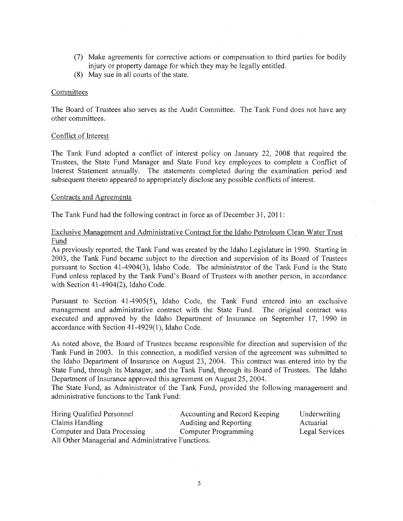- (7) Make agreements for corrective actions or compensation to third parties for bodily injury or property damage for which they may be legally entitled.
- (8) May sue in all courts of the state.

#### **Committees**

The Board of Trustees also serves as the Audit Committee. The Tank Fund does not have any other committees.

#### Conflict of Interest

The Tank Fund adopted a conflict of interest policy on January 22, 2008 that required the Trustees, the State Fund Manager and State Fund key employees to complete a Conflict of Interest Statement annually. The statements completed during the examination period and subsequent thereto appeared to appropriately disclose any possible conflicts of interest.

#### Contracts and Agreements

The Tank Fund had the following contract in force as of December 31, 2011 :

## Exclusive Management and Administrative Contract for the Idaho Petroleum Clean Water Trust Fund

As previously reported, the Tank Fund was created by the Idaho Legislature in 1990. Starting in 2003, the Tank Fund became subject to the direction and supervision of its Board of Trustees pursuant to Section 41-4904(3), Idaho Code. The administrator of the Tank Fund is the State Fund unless replaced by the Tank Fund's Board of Trustees with another person, in accordance with Section 41-4904(2), Idaho Code.

Pursuant to Section 41-4905(5), Idaho Code, the Tank Fund entered into an exclusive management and administrative contract with the State Fund. The original contract was executed and approved by the Idaho Department of Insurance on September 17, 1990 in accordance with Section 41-4929(1), Idaho Code.

As noted above, the Board of Trustees became responsible for direction and supervision of the Tank Fund in 2003. In this connection, a modified version of the agreement was submitted to the Idaho Department of Insurance on August 23, 2004. This contract was entered into by the State Fund, through its Manager, and the Tank Fund, through its Board of Trustees. The Idaho Department of Insurance approved this agreement on August 25, 2004.

The State Fund, as Administrator of the Tank Fund, provided the following management and administrative functions to the Tank Fund:

| Hiring Qualified Personnel                         | Accounting and Record Keeping | Underwriting   |
|----------------------------------------------------|-------------------------------|----------------|
| Claims Handling                                    | Auditing and Reporting        | Actuarial      |
| Computer and Data Processing                       | Computer Programming          | Legal Services |
| All Other Managerial and Administrative Functions. |                               |                |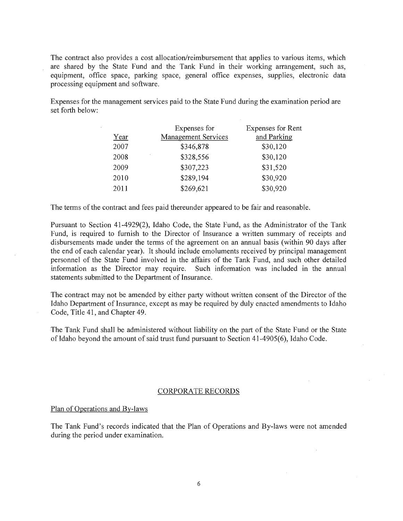The contract also provides a cost allocation/reimbursement that applies to various items, which are shared by the State Fund and the Tank Fund in their working arrangement, such as, equipment, office space, parking space, general office expenses, supplies, electronic data processing equipment and software.

Expenses for the management services paid to the State Fund during the examination period are set forth below:

|      | Expenses for        | Expenses for Rent |
|------|---------------------|-------------------|
| Year | Management Services | and Parking       |
| 2007 | \$346,878           | \$30,120          |
| 2008 | ٠<br>\$328,556      | \$30,120          |
| 2009 | \$307,223           | \$31,520          |
| 2010 | \$289,194           | \$30,920          |
| 2011 | \$269,621           | \$30,920          |

The terms of the contract and fees paid thereunder appeared to be fair and reasonable.

Pursuant to Section 41-4929(2), Idaho Code, the State Fund, as the Administrator of the Tank Fund, is required to furnish to the Director of Insurance a written summary of receipts and disbursements made under the terms of the agreement on an annual basis (within 90 days after the end of each calendar year). It should include emoluments received by principal management personnel of the State Fund involved in the affairs of the Tank Fund, and such other detailed information as the Director may require. Such information was included in the annual statements submitted to the Department of Insurance.

The contract may not be amended by either party without written consent of the Director of the Idaho Department of Insurance, except as may be required by duly enacted amendments to Idaho Code, Title 41, and Chapter 49.

The Tank Fund shall be administered without liability on the part of the State Fund or the State of Idaho beyond the amount of said trust fund pursuant to Section 41-4905(6), Idaho Code.

#### CORPORATE RECORDS

#### Plan of Operations and By-laws

The Tank Fund's records indicated that the Plan of Operations and By-laws were not amended during the period under examination.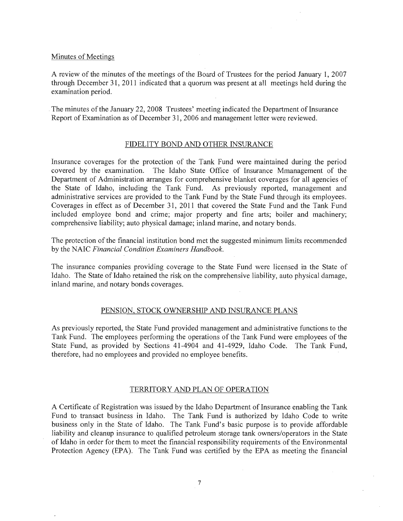## Minutes of Meetings

A review of the minutes of the meetings of the Board of Trustees for the period January 1,2007 through December 31, **2011** indicated that a quorum was present at all meetings held during the examination period.

The minutes of the January 22, 2008 Trustees' meeting indicated the Department of Insurance Report of Examination as of December 31, 2006 and management letter were reviewed.

## FIDELITY BOND AND OTHER INSURANCE

Insurance coverages for the protection of the Tank Fund were maintained during the period covered by the examination. The Idaho State Office of Insurance Mmanagement of the Department of Administration arranges for comprehensive blanket coverages for all agencies of the State of Idaho, including the Tank Fund. As previously reported, management and administrative services are provided to the Tank Fund by the State Fund through its employees. Coverages in effect as of December 31, **2011** that covered the State Fund and the Tank Fund included employee bond and crime; major property and fine arts; boiler and machinery; comprehensive liability; auto physical damage; inland marine, and notary bonds.

The protection of the financial institution bond met the suggested minimum limits recommended by the NAIC *Financial Condition Examiners Handbook.* 

The insurance companies providing coverage to the State Fund were licensed in the State of Idaho. The State of Idaho retained the risk on the comprehensive liability, auto physical damage, inland marine, and notary bonds coverages.

# PENSION, STOCK OWNERSHIP AND INSURANCE PLANS

As previously reported, the State Fund provided management and administrative functions to the Tank Fund. The employees performing the operations of the Tank Fund were employees of the State Fund, as provided by Sections 41-4904 and 41-4929, Idaho Code. The Tank Fund, therefore, had no employees and provided no employee benefits.

## TERRITORY AND PLAN OF OPERATION

A Certificate of Registration was issued by the Idaho Department of Insurance enabling the Tank Fund to transact business in Idaho. The Tank Fund is authorized by Idaho Code to write business only in the State of Idaho. The Tank Fund's basic purpose is to provide affordable liability and cleanup insurance to qualified petroleum storage tank owners/operators in the State of Idaho in order for them to meet the financial responsibility requirements of the Environmental Protection Agency (EPA). The Tank Fund was certified by the EPA as meeting the financial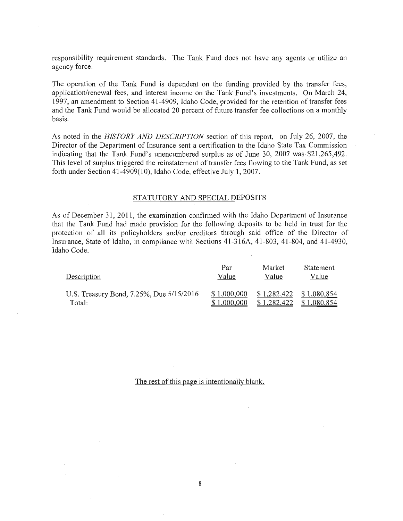responsibility requirement standards. The Tank Fund does not have any agents or utilize an agency force.

The operation of the Tank Fund is dependent on the funding provided by the transfer fees, application/renewal fees, and interest income on the Tank Fund's investments. On March 24, 1997, an amendment to Section 41-4909, Idaho Code, provided for the retention of transfer fees and the Tank Fund would be allocated 20 percent of future transfer fee collections on a monthly basis.

As noted in the *HISTORY AND DESCRIPTION* section of this report, on July 26, 2007, the Director of the Department of Insurance sent a certification to the Idaho State Tax Commission indicating that the Tank Fund's unencumbered surplus as of June 30, 2007 was \$21,265,492. This level of surplus triggered the reinstatement of transfer fees flowing to the Tank Fund, as set forth under Section 41-4909(10), Idaho Code, effective July 1, 2007.

## STATUTORY AND SPECIAL DEPOSITS

As of December 31, 2011, the examination confirmed with the Idaho Department of Insurance that the Tank Fund had made provision for the following deposits to be held in trust for the protection of all its policyholders and/or creditors through said office of the Director of Insurance, State of Idaho, in compliance with Sections 41-316A, 41-803,41-804, and 41-4930, Idaho Code.

| Description                              | Par         | Market      | Statement                 |
|------------------------------------------|-------------|-------------|---------------------------|
|                                          | Value       | Value       | Value                     |
| U.S. Treasury Bond, 7.25%, Due 5/15/2016 | \$1,000,000 | \$1,282,422 | $$1,282,422$ $$1,080,854$ |
| Total:                                   | \$1,000,000 |             | \$1,080,854               |

## The rest of this page is intentionally blank.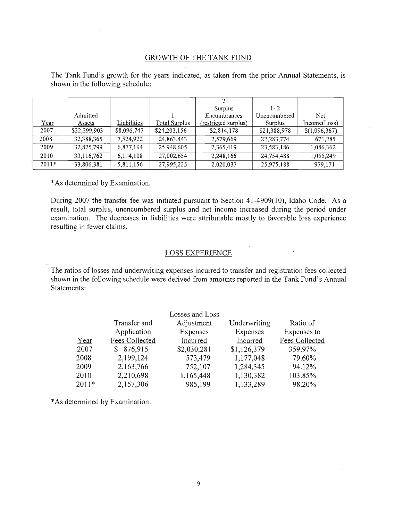## GROWTH OF THE TANK FUND

|         |              |             |               | っ                    |              |               |
|---------|--------------|-------------|---------------|----------------------|--------------|---------------|
|         |              |             |               | <b>Surplus</b>       | $1 - 2$      |               |
|         | Admitted     |             |               | Encumbrances         | Unencumbered | Net           |
| Year    | Assets       | Liabilities | Total Surplus | (restricted surplus) | Surplus      | Income(Loss)  |
| 2007    | \$32,299,903 | \$8,096,747 | \$24,203,156  | \$2,814,178          | \$21,388,978 | \$(1,096,367) |
| 2008    | 32,388,365   | 7,524,922   | 24,863,443    | 2,579,669            | 22, 283, 774 | 671,285       |
| 2009    | 32,825,799   | 6,877,194   | 25,948,605    | 2,365,419            | 23,583,186   | 1,086,362     |
| 2010    | 33,116,762   | 6,114,108   | 27,002,654    | 2,248,166            | 24,754,488   | 1,055,249     |
| $2011*$ | 33,806,381   | 5,811,156   | 27,995,225    | 2,020,037            | 25,975,188   | 979,171       |

The Tank Fund's growth for the years indicated, as taken from the prior Annual Statements, is shown in the following schedule:

\* As determined by Examination.

During 2007 the transfer fee was initiated pursuant to Section 41-4909(10), Idaho Code. As a result, total surplus, unencumbered surplus and net income increased during the period under examination. The decreases in liabilities were attributable mostly to favorable loss experience resulting in fewer claims.

## LOSS EXPERIENCE

The ratios of losses and underwriting expenses incurred to transfer and registration fees collected shown in the following schedule were derived from amounts reported in the Tank Fund's Annual Statements:

|         |                | Losses and Loss |              |                |
|---------|----------------|-----------------|--------------|----------------|
|         | Transfer and   | Adjustment      | Underwriting | Ratio of       |
|         | Application    | Expenses        | Expenses     | Expenses to    |
| Year    | Fees Collected | Incurred        | Incurred     | Fees Collected |
| 2007    | 876,915<br>S.  | \$2,030,281     | \$1,126,379  | 359.97%        |
| 2008    | 2,199,124      | 573,479         | 1,177,048    | 79.60%         |
| 2009    | 2,163,766      | 752,107         | 1,284,345    | 94.12%         |
| 2010    | 2,210,698      | 1,165,448       | 1,130,382    | 103.85%        |
| $2011*$ | 2,157,306      | 985,199         | 1,133,289    | 98.20%         |

\* As determined by Examination.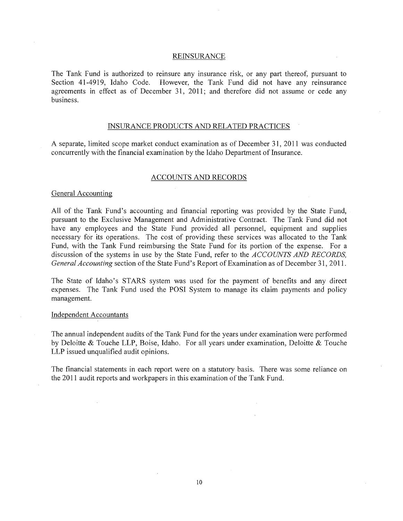#### **REINSURANCE**

The Tank Fund is authorized to reinsure any insurance risk, or any part thereof, pursuant to Section 41-4919, Idaho Code. However, the Tank Fund did not have any reinsurance agreements in effect as of December 31, 2011; and therefore did not assume or cede any business.

## INSURANCE PRODUCTS AND RELATED PRACTICES

A separate, limited scope market conduct examination as of December 31, 2011 was conducted concurrently with the financial examination by the Idaho Department of Insurance.

#### ACCOUNTS AND RECORDS

#### General Accounting

All of the Tank Fund's accounting and financial reporting was provided by the State Fund, pursuant to the Exclusive Management and Administrative Contract. The Tank Fund did not have any employees and the State Fund provided all personnel, equipment and supplies necessary for its operations. The cost of providing these services was allocated to the Tank Fund, with the Tank Fund reimbursing the State Fund for its portion of the expense. For a discussion of the systems in use by the State Fund, refer to the *ACCOUNTS AND RECORDS, General Accounting* section of the State Fund's Report of Examination as of December 31, 2011.

The State of Idaho's STARS system was used for the payment of benefits and any direct expenses. The Tank Fund used the POSI System to manage its claim payments and policy management.

#### Independent Accountants

The annual independent audits of the Tank Fund for the years under examination were performed by Deloitte & Touche LLP, Boise, Idaho. For all years under examination, Deloitte & Touche LLP issued unqualified audit opinions.

The financial statements in each report were on a statutory basis. There was some reliance on the 2011 audit reports and workpapers in this examination of the Tank Fund.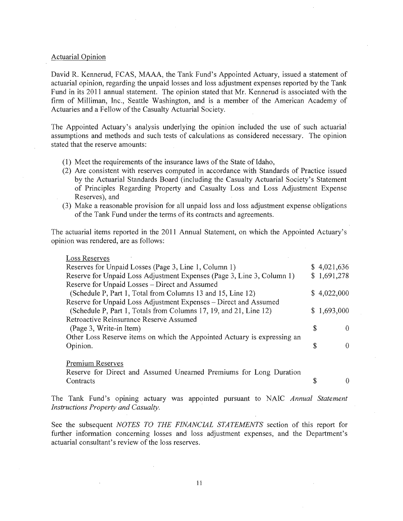#### Actuarial Opinion

David R. Kennerud, FCAS, MAAA, the Tank Fund's Appointed Actuary, issued a statement of actuarial opinion, regarding the unpaid losses and loss adjustment expenses reported by the Tank Fund in its 2011 annual statement. The opinion stated that Mr. Kennerud is associated with the firm of Milliman, Inc., Seattle Washington, and is a member of the American Academy of Actuaries and a Fellow of the Casualty Actuarial Society.

The Appointed Actuary's analysis underlying the opinion included the use of such actuarial assumptions and methods and such tests of calculations as considered necessary. The opinion stated that the reserve amounts:

- (1) Meet the requirements of the insurance laws of the State of Idaho,
- (2) Are consistent with reserves computed in accordance with Standards of Practice issued by the Actuarial Standards Board (including the Casualty Actuarial Society's Statement of Principles Regarding Property and Casualty Loss and Loss Adjustment Expense Reserves), and
- (3) Make a reasonable provision for all unpaid loss and loss adjustment expense obligations of the Tank Fund under the terms of its contracts and agreements.

The actuarial items reported in the 2011 Annual Statement, on which the Appointed Actuary's opinion was rendered, are as follows:

| <b>Loss Reserves</b>                                                     |    |             |
|--------------------------------------------------------------------------|----|-------------|
| Reserves for Unpaid Losses (Page 3, Line 1, Column 1)                    |    | \$4,021,636 |
| Reserve for Unpaid Loss Adjustment Expenses (Page 3, Line 3, Column 1)   |    | \$1,691,278 |
| Reserve for Unpaid Losses – Direct and Assumed                           |    |             |
| (Schedule P, Part 1, Total from Columns 13 and 15, Line 12)              |    | \$4,022,000 |
| Reserve for Unpaid Loss Adjustment Expenses - Direct and Assumed         |    |             |
| (Schedule P, Part 1, Totals from Columns 17, 19, and 21, Line 12)        |    | \$1,693,000 |
| Retroactive Reinsurance Reserve Assumed                                  |    |             |
| (Page 3, Write-in Item)                                                  | S. | $\theta$    |
| Other Loss Reserve items on which the Appointed Actuary is expressing an |    |             |
| Opinion.                                                                 | Я  |             |
|                                                                          |    |             |
|                                                                          |    |             |

Premium Reserves

Reserve for Direct and Assumed Unearned Premiums for Long Duration **Contracts**  $\upbeta$  0

The Tank Fund's opining actuary was appointed pursuant to NAIC *Annual Statement Instructions Property and Casualty.* 

See the subsequent *NOTES TO THE FINANCIAL STATEMENTS* section of this report for further information concerning losses and loss adjustment expenses, and the Department's actuarial consultant's review of the loss reserves.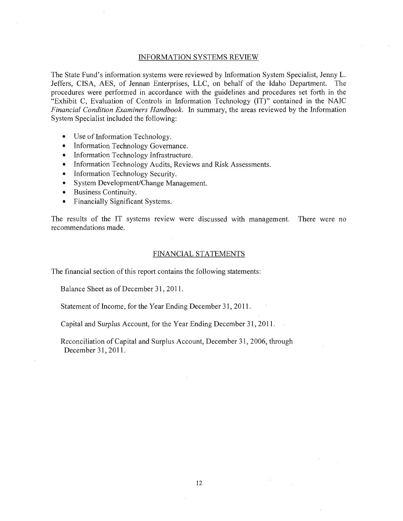#### INFORMATION SYSTEMS REVIEW

The State Fund's information systems were reviewed by Information System Specialist, Jenny L. Jeffers, CISA, AES, of Jennan Enterprises, LLC, on behalf of the Idaho Department. The procedures were performed in accordance with the guidelines and procedures set forth in the "Exhibit C, Evaluation of Controls in Information Technology (IT)" contained in the NAIC *Financial Condition Examiners Handbook.* In summary, the areas reviewed by the Information System Specialist included the following:

- Use of Information Technology.
- Information Technology Governance.
- Information Technology Infrastructure.
- Information Technology Audits, Reviews and Risk Assessments.
- Information Technology Security.
- System Development/Change Management.
- Business Continuity.
- Financially Significant Systems.

The results of the IT systems review were discussed with management. There were no recommendations made.

#### FINANCIAL STATEMENTS

The financial section of this report contains the following statements:

Balance Sheet as of December 31, 2011.

Statement of Income, for the Year Ending December 31, 2011.

Capital and Surplus Account, for the Year Ending December 31, 2011.

Reconciliation of Capital and Surplus Account, December 31, 2006, through December 31, 2011.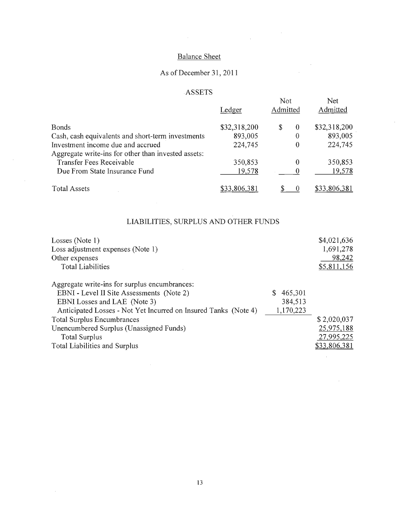# Balance Sheet

 $\label{eq:2.1} \frac{1}{2} \sum_{i=1}^n \frac{1}{2} \sum_{j=1}^n \frac{1}{2} \sum_{j=1}^n \frac{1}{2} \sum_{j=1}^n \frac{1}{2} \sum_{j=1}^n \frac{1}{2} \sum_{j=1}^n \frac{1}{2} \sum_{j=1}^n \frac{1}{2} \sum_{j=1}^n \frac{1}{2} \sum_{j=1}^n \frac{1}{2} \sum_{j=1}^n \frac{1}{2} \sum_{j=1}^n \frac{1}{2} \sum_{j=1}^n \frac{1}{2} \sum_{j=1}^n \frac{$ 

 $\sim$   $\sim$  $\mathcal{L}$ 

 $\bar{z}$ 

 $\mathcal{A}^{\mathcal{A}}$ 

# As of December 31 , **2011**

# ASSETS

|                                                     | Ledger       | Not<br>Admitted |   | Net<br>Admitted |
|-----------------------------------------------------|--------------|-----------------|---|-----------------|
| <b>Bonds</b>                                        | \$32,318,200 | S               | 0 | \$32,318,200    |
| Cash, cash equivalents and short-term investments   | 893,005      |                 | 0 | 893,005         |
| Investment income due and accrued                   | 224,745      |                 | 0 | 224,745         |
| Aggregate write-ins for other than invested assets: |              |                 |   |                 |
| Transfer Fees Receivable                            | 350,853      |                 | 0 | 350,853         |
| Due From State Insurance Fund                       | 19,578       |                 |   | 19,578          |
| <b>Total Assets</b>                                 | \$33,806,381 |                 |   | \$33,806,381    |

 $\sim$ 

 $\hat{\mathcal{A}}$ 

 $\sim$ 

# LIABILITIES, SURPLUS AND OTHER FUNDS

| Losses (Note 1)<br>Loss adjustment expenses (Note 1)<br>Other expenses<br><b>Total Liabilities</b>                                                                                                                                                                                                                                     |                                 | \$4,021,636<br>1,691,278<br>98,242<br>\$5,811,156       |
|----------------------------------------------------------------------------------------------------------------------------------------------------------------------------------------------------------------------------------------------------------------------------------------------------------------------------------------|---------------------------------|---------------------------------------------------------|
| Aggregate write-ins for surplus encumbrances:<br>EBNI - Level II Site Assessments (Note 2)<br>EBNI Losses and LAE (Note 3)<br>Anticipated Losses - Not Yet Incurred on Insured Tanks (Note 4)<br><b>Total Surplus Encumbrances</b><br>Unencumbered Surplus (Unassigned Funds)<br><b>Total Surplus</b><br>Total Liabilities and Surplus | 465,301<br>384,513<br>1,170,223 | \$2,020,037<br>25,975,188<br>27,995,225<br>\$33,806,381 |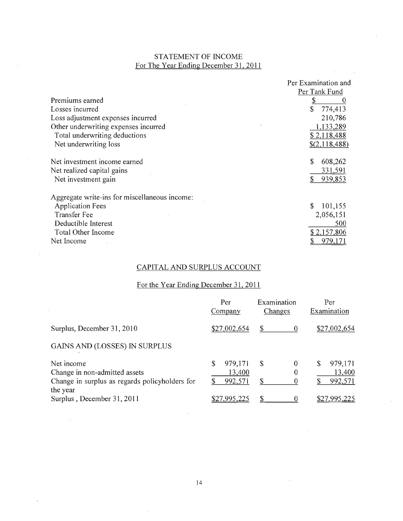# STATEMENT OF INCOME For The Year Ending December 31, 2011

 $\mathcal{L}^{\text{max}}_{\text{max}}$  and  $\mathcal{L}^{\text{max}}_{\text{max}}$ 

|                                               | Per Examination and |
|-----------------------------------------------|---------------------|
|                                               | Per Tank Fund       |
| Premiums earned                               |                     |
| Losses incurred                               | \$<br>774,413       |
| Loss adjustment expenses incurred             | 210,786             |
| Other underwriting expenses incurred          | 1,133,289           |
| Total underwriting deductions                 | \$2,118,488         |
| Net underwriting loss                         | \$(2,118,488)       |
| Net investment income earned                  | \$<br>608,262       |
| Net realized capital gains                    | 331,591             |
| Net investment gain                           | 939,853<br>S.       |
| Aggregate write-ins for miscellaneous income: |                     |
| <b>Application Fees</b>                       | \$<br>101,155       |
| <b>Transfer Fee</b>                           | 2,056,151           |
| Deductible Interest                           | 500                 |
| Total Other Income                            | \$2,157,806         |
| Net Income                                    | 979,171             |

# CAPITAL AND SURPLUS ACCOUNT

 $\mathcal{L}_{\mathcal{A}}$ 

# For the Year Ending December 31, 2011

|                                                                                                           | Per<br>Company                     | Examination<br><b>Changes</b> | Per<br>Examination                |
|-----------------------------------------------------------------------------------------------------------|------------------------------------|-------------------------------|-----------------------------------|
| Surplus, December 31, 2010                                                                                | \$27,002,654                       | \$.<br>$\theta$               | \$27,002,654                      |
| <b>GAINS AND (LOSSES) IN SURPLUS</b>                                                                      |                                    |                               |                                   |
| Net income<br>Change in non-admitted assets<br>Change in surplus as regards policyholders for<br>the year | 979,171<br>\$<br>13,400<br>992,571 | $\theta$<br>-S<br>\$          | 979,171<br>S<br>13,400<br>992,571 |
| Surplus, December 31, 2011                                                                                | \$27,995,225                       |                               | \$27,995,225                      |

÷.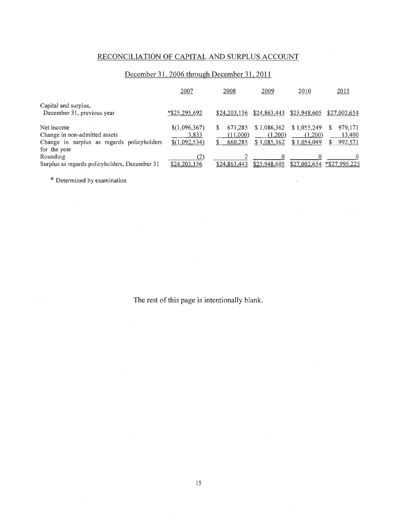# RECONCILIA TION OF CAPITAL AND SURPLUS ACCOUNT

# December 31, 2006 through December 31, **2011**

|                                                                                                           | 2007                                    | 2008                           | 2009                                  | 2010                                  | 2011                              |
|-----------------------------------------------------------------------------------------------------------|-----------------------------------------|--------------------------------|---------------------------------------|---------------------------------------|-----------------------------------|
| Capital and surplus,<br>December 31, previous year                                                        | *\$25,295,692                           | \$24,203,156                   | \$24,863,443                          | \$25,948,605                          | \$27,002,654                      |
| Net income<br>Change in non-admitted assets<br>Change in surplus as regards policyholders<br>for the year | \$(1,096,367)<br>3,833<br>\$(1,092,534) | 671,285<br>(11,000)<br>660,285 | \$1,086,362<br>(1,200)<br>\$1,085,162 | \$1,055,249<br>(1,200)<br>\$1,054,049 | 979,171<br>S<br>13,400<br>992,571 |
| Rounding<br>Surplus as regards policyholders, December 31                                                 | (2)<br>\$24,203,156                     | \$24,863,443                   | \$25,948,605                          | \$27,002,654                          | *\$27,995,225                     |

 $\mathcal{L}$ 

\* Determined by examination

 $\sim$ 

 $\sim$ 

 $\sim$ 

 $\bar{z}$ 

 $\mathcal{A}^{\mathcal{A}}$ 

 $\bar{z}$ 

The rest of this page is intentionally blank.

 $\bar{z}$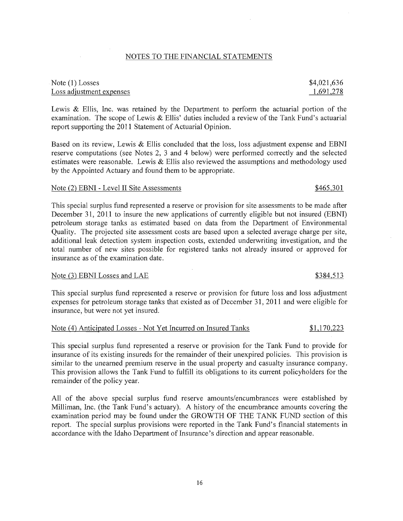## 16

# NOTES TO THE FINANCIAL STATEMENTS

# Note (1) Losses Loss adjustment expenses

Lewis & Ellis, Inc. was retained by the Department to perform the actuarial portion of the examination. The scope of Lewis & Ellis' duties included a review of the Tank Fund's actuarial report supporting the 2011 Statement of Actuarial Opinion.

Based on its review, Lewis  $\&$  Ellis concluded that the loss, loss adjustment expense and EBNI reserve computations (see Notes 2, 3 and 4 below) were performed correctly and the selected estimates were reasonable. Lewis  $&$  Ellis also reviewed the assumptions and methodology used by the Appointed Actuary and found them to be appropriate.

## Note (2) EBNI - Level II Site Assessments  $$465,301$

This special surplus fund represented a reserve or provision for site assessments to be made after December 31, 2011 to insure the new applications of currently eligible but not insured (EBNI) petroleum storage tanks as estimated based on data from the Department of Environmental Quality. The projected site assessment costs are based upon a selected average charge per site, additional leak detection system inspection costs, extended underwriting investigation, and the total number of new sites possible for registered tanks not already insured or approved for insurance as of the examination date.

# Note (3) EBNI Losses and LAE \$384,513

This special surplus fund represented a reserve or provision for future loss and loss adjustment expenses for petroleum storage tanks that existed as of December 31, 2011 and were eligible for insurance, but were not yet insured.

## Note (4) Anticipated Losses - Not Yet Incurred on Insured Tanks \$1,170,223

This special surplus fund represented a reserve or provision for the Tank Fund to provide for insurance of its existing insureds for the remainder of their unexpired policies. This provision is similar to the unearned premium reserve in the usual property and casualty insurance company. This provision allows the Tank Fund to fulfill its obligations to its current policyholders for the remainder of the policy year.

All of the above special surplus fund reserve amounts/encumbrances were established by Milliman, Inc. (the Tank Fund's actuary). A history of the encumbrance amounts covering the examination period may be found under the GROWTH OF THE TANK FUND section of this report. The special surplus provisions were reported in the Tank Fund's financial statements in accordance with the Idaho Department of Insurance's direction and appear reasonable.

\$4,021,636 1,691,278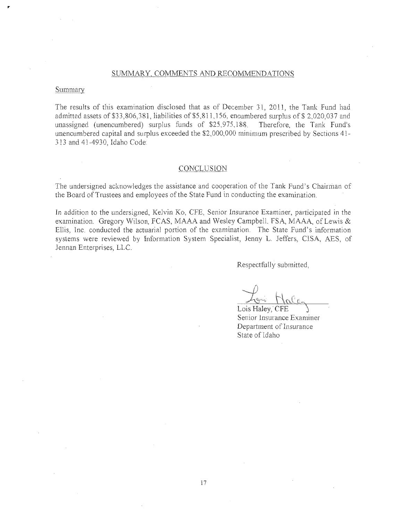## SUMMARY, COMMENTS AND RECOMMENDATIONS

#### Summary

The results of this examination disclosed that as of December 31, 2011, the Tank Fund had admitted assets of \$33,806,381, liabilities of \$5,811,156, encumbered surplus of \$2,020,037 and unassigned (unencumbered) surplus funds of \$25,975,188. Therefore, the Tank Fund's unencumbered capital and surplus exceeded the \$2,000,000 minimum prescribed by Sections 41-313 and 41-4930, Idaho Code.

#### **CONCLUSION**

The undersigned acknowledges the assistance and cooperation of the Tank Fund's Chairman of the Board of Trustees and employees of the State Fund in conducting the examination.

In addition to the undersigned, Kelvin Ko, CFE, Senior Insurance Examiner, participated in the examination. Gregory Wilson, FCAS, MAAA and Wesley Campbell, FSA, MAAA, of Lewis  $\&$ Ellis, Inc. conducted the actuarial portion of the examination. The State Fund's information systems were reviewed by Information System Specialist, Jenny L. Jeffers, CISA, AES, of Jennan Enterprises, LLC.

Respectfully submitted,

Lois Haley, CFE Senior Insurance Examiner Department of Insurance State of Idaho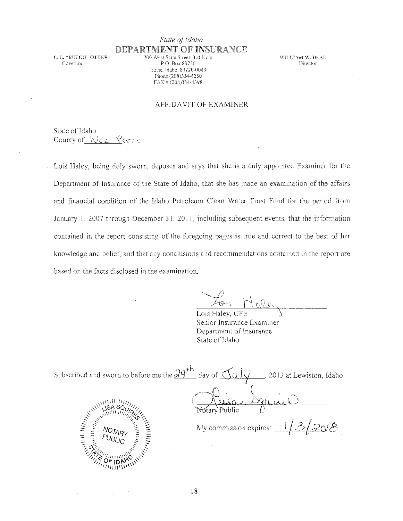# *State oj Idaho*  DEPARTMENT **OF** INSURANCE

C. L. "BUTCH'" OTTER Govemor

700 West State Street, 3rd Floor P.O. Box 83720 Boise. Idaho 83720-0043 Phone (208)334-4250  $FAX = (208)334 - 4398$ 

WILLIAM W. DEAL Director

## AFFIDAVIT OF EXAMINER

State of Idaho County of Nez Perce

Lois Haiey, being duly sworn, deposes and says that she is a duly appointed Examiner for the Department of Insurance of the State of Idaho, that she has made an examination of the affairs and financial condition of the Idaho Petroleum Clean Water Trust Fund for the period from January 1, 2007 through December 31, 2011, including subsequent events, that the information contained in the report consisting of the foregoing pages is true and correct to the best of her knowledge and belief, and that any conclusions and recommendations contained in the report are based on the facts disclosed in the examination.

Lois Haley, CFE Senior Insurance Examiner Department of Insurance State of Idaho

| Subscribed and sworn to before me the $24^{10}$ day of $\pi$ (1) | _, 2013 at Lewiston, Idaho |
|------------------------------------------------------------------|----------------------------|
|                                                                  |                            |
|                                                                  |                            |

My commission expires:  $\frac{1}{3}$  2018